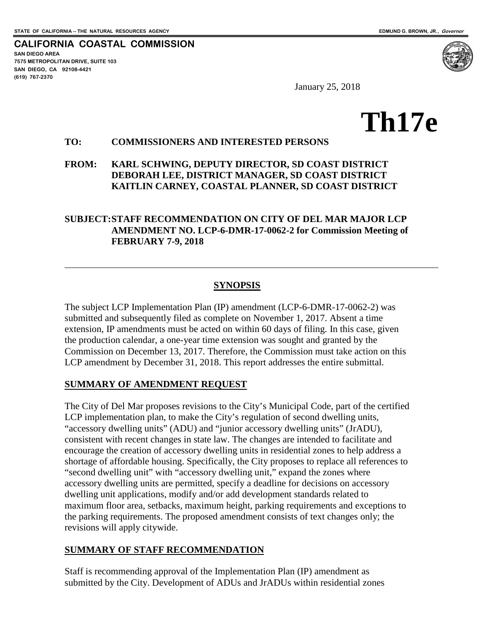**SAN DIEGO AREA**

**(619) 767-2370**

**7575 METROPOLITAN DRIVE, SUITE 103 SAN DIEGO, CA 92108-4421**

**CALIFORNIA COASTAL COMMISSION**

January 25, 2018

# **Th17e**

### **TO: COMMISSIONERS AND INTERESTED PERSONS**

**FROM: KARL SCHWING, DEPUTY DIRECTOR, SD COAST DISTRICT DEBORAH LEE, DISTRICT MANAGER, SD COAST DISTRICT KAITLIN CARNEY, COASTAL PLANNER, SD COAST DISTRICT**

#### **SUBJECT:STAFF RECOMMENDATION ON CITY OF DEL MAR MAJOR LCP AMENDMENT NO. LCP-6-DMR-17-0062-2 for Commission Meeting of FEBRUARY 7-9, 2018**

#### **SYNOPSIS**

The subject LCP Implementation Plan (IP) amendment (LCP-6-DMR-17-0062-2) was submitted and subsequently filed as complete on November 1, 2017. Absent a time extension, IP amendments must be acted on within 60 days of filing. In this case, given the production calendar, a one-year time extension was sought and granted by the Commission on December 13, 2017. Therefore, the Commission must take action on this LCP amendment by December 31, 2018. This report addresses the entire submittal.

#### **SUMMARY OF AMENDMENT REQUEST**

The City of Del Mar proposes revisions to the City's Municipal Code, part of the certified LCP implementation plan, to make the City's regulation of second dwelling units, "accessory dwelling units" (ADU) and "junior accessory dwelling units" (JrADU), consistent with recent changes in state law. The changes are intended to facilitate and encourage the creation of accessory dwelling units in residential zones to help address a shortage of affordable housing. Specifically, the City proposes to replace all references to "second dwelling unit" with "accessory dwelling unit," expand the zones where accessory dwelling units are permitted, specify a deadline for decisions on accessory dwelling unit applications, modify and/or add development standards related to maximum floor area, setbacks, maximum height, parking requirements and exceptions to the parking requirements. The proposed amendment consists of text changes only; the revisions will apply citywide.

#### **SUMMARY OF STAFF RECOMMENDATION**

Staff is recommending approval of the Implementation Plan (IP) amendment as submitted by the City. Development of ADUs and JrADUs within residential zones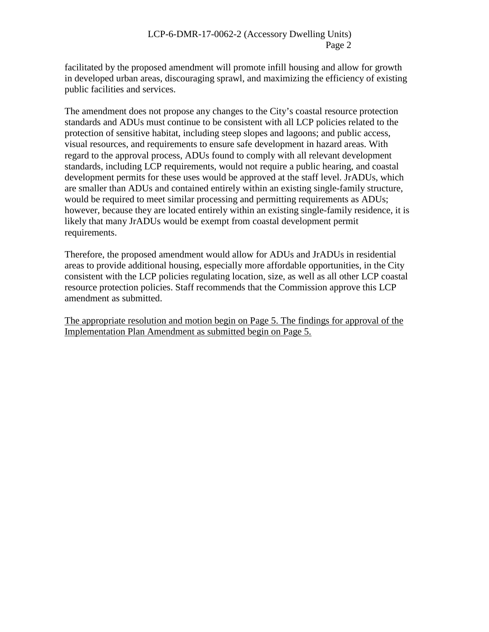facilitated by the proposed amendment will promote infill housing and allow for growth in developed urban areas, discouraging sprawl, and maximizing the efficiency of existing public facilities and services.

The amendment does not propose any changes to the City's coastal resource protection standards and ADUs must continue to be consistent with all LCP policies related to the protection of sensitive habitat, including steep slopes and lagoons; and public access, visual resources, and requirements to ensure safe development in hazard areas. With regard to the approval process, ADUs found to comply with all relevant development standards, including LCP requirements, would not require a public hearing, and coastal development permits for these uses would be approved at the staff level. JrADUs, which are smaller than ADUs and contained entirely within an existing single-family structure, would be required to meet similar processing and permitting requirements as ADUs; however, because they are located entirely within an existing single-family residence, it is likely that many JrADUs would be exempt from coastal development permit requirements.

Therefore, the proposed amendment would allow for ADUs and JrADUs in residential areas to provide additional housing, especially more affordable opportunities, in the City consistent with the LCP policies regulating location, size, as well as all other LCP coastal resource protection policies. Staff recommends that the Commission approve this LCP amendment as submitted.

The appropriate resolution and motion begin on Page 5. The findings for approval of the Implementation Plan Amendment as submitted begin on Page 5.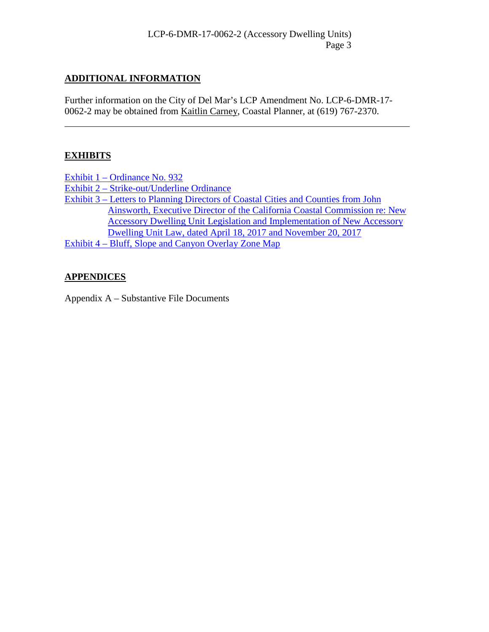# **ADDITIONAL INFORMATION**

Further information on the City of Del Mar's LCP Amendment No. LCP-6-DMR-17- 0062-2 may be obtained from Kaitlin Carney, Coastal Planner, at (619) 767-2370.

# **EXHIBITS**

Exhibit 1 – [Ordinance No. 932](https://documents.coastal.ca.gov/reports/2018/2/Th17e/Th17e-2-2018-exhibits.pdf)

Exhibit 2 – [Strike-out/Underline](https://documents.coastal.ca.gov/reports/2018/2/Th17e/Th17e-2-2018-exhibits.pdf) Ordinance

Exhibit 3 – [Letters to Planning Directors of Coastal Cities and Counties from John](https://documents.coastal.ca.gov/reports/2018/2/Th17e/Th17e-2-2018-exhibits.pdf)  [Ainsworth, Executive Director of the California Coastal Commission re: New](https://documents.coastal.ca.gov/reports/2018/2/Th17e/Th17e-2-2018-exhibits.pdf)  [Accessory Dwelling Unit Legislation and Implementation of New Accessory](https://documents.coastal.ca.gov/reports/2018/2/Th17e/Th17e-2-2018-exhibits.pdf)  [Dwelling Unit Law, dated April 18, 2017 and November 20, 2017](https://documents.coastal.ca.gov/reports/2018/2/Th17e/Th17e-2-2018-exhibits.pdf) Exhibit 4 – [Bluff, Slope and Canyon Overlay Zone Map](https://documents.coastal.ca.gov/reports/2018/2/Th17e/Th17e-2-2018-exhibits.pdf)

# **APPENDICES**

Appendix A – Substantive File Documents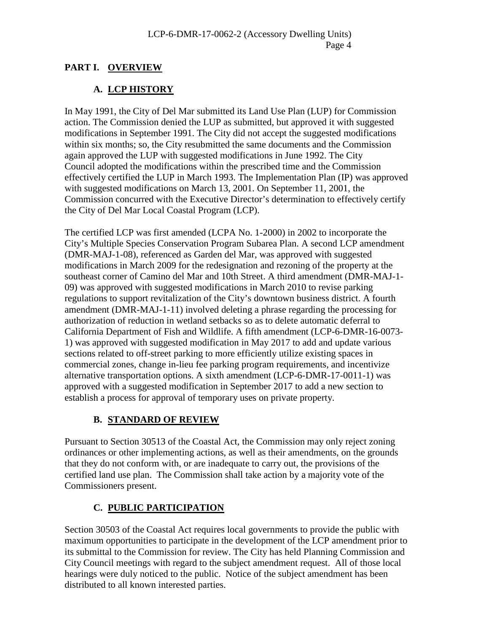# **PART I. OVERVIEW**

# **A. LCP HISTORY**

In May 1991, the City of Del Mar submitted its Land Use Plan (LUP) for Commission action. The Commission denied the LUP as submitted, but approved it with suggested modifications in September 1991. The City did not accept the suggested modifications within six months; so, the City resubmitted the same documents and the Commission again approved the LUP with suggested modifications in June 1992. The City Council adopted the modifications within the prescribed time and the Commission effectively certified the LUP in March 1993. The Implementation Plan (IP) was approved with suggested modifications on March 13, 2001. On September 11, 2001, the Commission concurred with the Executive Director's determination to effectively certify the City of Del Mar Local Coastal Program (LCP).

The certified LCP was first amended (LCPA No. 1-2000) in 2002 to incorporate the City's Multiple Species Conservation Program Subarea Plan. A second LCP amendment (DMR-MAJ-1-08), referenced as Garden del Mar, was approved with suggested modifications in March 2009 for the redesignation and rezoning of the property at the southeast corner of Camino del Mar and 10th Street. A third amendment (DMR-MAJ-1- 09) was approved with suggested modifications in March 2010 to revise parking regulations to support revitalization of the City's downtown business district. A fourth amendment (DMR-MAJ-1-11) involved deleting a phrase regarding the processing for authorization of reduction in wetland setbacks so as to delete automatic deferral to California Department of Fish and Wildlife. A fifth amendment (LCP-6-DMR-16-0073- 1) was approved with suggested modification in May 2017 to add and update various sections related to off-street parking to more efficiently utilize existing spaces in commercial zones, change in-lieu fee parking program requirements, and incentivize alternative transportation options. A sixth amendment (LCP-6-DMR-17-0011-1) was approved with a suggested modification in September 2017 to add a new section to establish a process for approval of temporary uses on private property.

# **B. STANDARD OF REVIEW**

Pursuant to Section 30513 of the Coastal Act, the Commission may only reject zoning ordinances or other implementing actions, as well as their amendments, on the grounds that they do not conform with, or are inadequate to carry out, the provisions of the certified land use plan. The Commission shall take action by a majority vote of the Commissioners present.

# **C. PUBLIC PARTICIPATION**

Section 30503 of the Coastal Act requires local governments to provide the public with maximum opportunities to participate in the development of the LCP amendment prior to its submittal to the Commission for review. The City has held Planning Commission and City Council meetings with regard to the subject amendment request. All of those local hearings were duly noticed to the public. Notice of the subject amendment has been distributed to all known interested parties.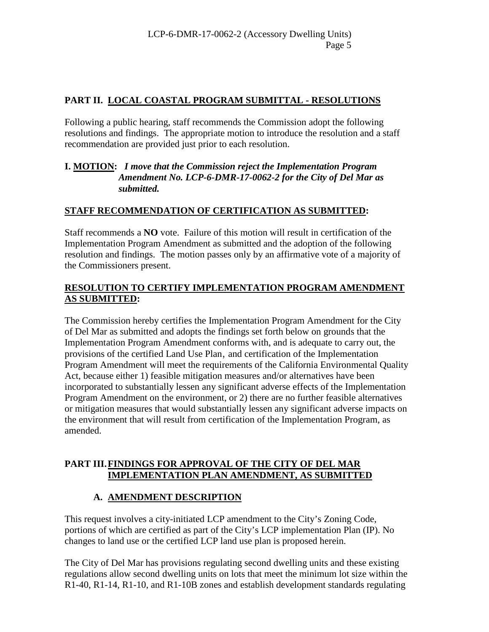# **PART II. LOCAL COASTAL PROGRAM SUBMITTAL - RESOLUTIONS**

Following a public hearing, staff recommends the Commission adopt the following resolutions and findings. The appropriate motion to introduce the resolution and a staff recommendation are provided just prior to each resolution.

## **I. MOTION:** *I move that the Commission reject the Implementation Program Amendment No. LCP-6-DMR-17-0062-2 for the City of Del Mar as submitted.*

## **STAFF RECOMMENDATION OF CERTIFICATION AS SUBMITTED:**

Staff recommends a **NO** vote. Failure of this motion will result in certification of the Implementation Program Amendment as submitted and the adoption of the following resolution and findings. The motion passes only by an affirmative vote of a majority of the Commissioners present.

# **RESOLUTION TO CERTIFY IMPLEMENTATION PROGRAM AMENDMENT AS SUBMITTED:**

The Commission hereby certifies the Implementation Program Amendment for the City of Del Mar as submitted and adopts the findings set forth below on grounds that the Implementation Program Amendment conforms with, and is adequate to carry out, the provisions of the certified Land Use Plan, and certification of the Implementation Program Amendment will meet the requirements of the California Environmental Quality Act, because either 1) feasible mitigation measures and/or alternatives have been incorporated to substantially lessen any significant adverse effects of the Implementation Program Amendment on the environment, or 2) there are no further feasible alternatives or mitigation measures that would substantially lessen any significant adverse impacts on the environment that will result from certification of the Implementation Program, as amended.

## **PART III.FINDINGS FOR APPROVAL OF THE CITY OF DEL MAR IMPLEMENTATION PLAN AMENDMENT, AS SUBMITTED**

# **A. AMENDMENT DESCRIPTION**

This request involves a city-initiated LCP amendment to the City's Zoning Code, portions of which are certified as part of the City's LCP implementation Plan (IP). No changes to land use or the certified LCP land use plan is proposed herein.

The City of Del Mar has provisions regulating second dwelling units and these existing regulations allow second dwelling units on lots that meet the minimum lot size within the R1-40, R1-14, R1-10, and R1-10B zones and establish development standards regulating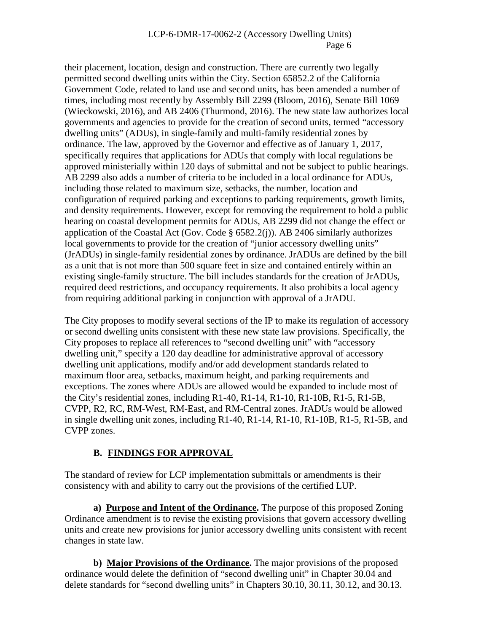their placement, location, design and construction. There are currently two legally permitted second dwelling units within the City. Section 65852.2 of the California Government Code, related to land use and second units, has been amended a number of times, including most recently by Assembly Bill 2299 (Bloom, 2016), Senate Bill 1069 (Wieckowski, 2016), and AB 2406 (Thurmond, 2016). The new state law authorizes local governments and agencies to provide for the creation of second units, termed "accessory dwelling units" (ADUs), in single-family and multi-family residential zones by ordinance. The law, approved by the Governor and effective as of January 1, 2017, specifically requires that applications for ADUs that comply with local regulations be approved ministerially within 120 days of submittal and not be subject to public hearings. AB 2299 also adds a number of criteria to be included in a local ordinance for ADUs, including those related to maximum size, setbacks, the number, location and configuration of required parking and exceptions to parking requirements, growth limits, and density requirements. However, except for removing the requirement to hold a public hearing on coastal development permits for ADUs, AB 2299 did not change the effect or application of the Coastal Act (Gov. Code § 6582.2(j)). AB 2406 similarly authorizes local governments to provide for the creation of "junior accessory dwelling units" (JrADUs) in single-family residential zones by ordinance. JrADUs are defined by the bill as a unit that is not more than 500 square feet in size and contained entirely within an existing single-family structure. The bill includes standards for the creation of JrADUs, required deed restrictions, and occupancy requirements. It also prohibits a local agency from requiring additional parking in conjunction with approval of a JrADU.

The City proposes to modify several sections of the IP to make its regulation of accessory or second dwelling units consistent with these new state law provisions. Specifically, the City proposes to replace all references to "second dwelling unit" with "accessory dwelling unit," specify a 120 day deadline for administrative approval of accessory dwelling unit applications, modify and/or add development standards related to maximum floor area, setbacks, maximum height, and parking requirements and exceptions. The zones where ADUs are allowed would be expanded to include most of the City's residential zones, including  $R1-40$ ,  $R1-14$ ,  $R1-10$ ,  $R1-10B$ ,  $R1-5$ ,  $R1-5B$ , CVPP, R2, RC, RM-West, RM-East, and RM-Central zones. JrADUs would be allowed in single dwelling unit zones, including R1-40, R1-14, R1-10, R1-10B, R1-5, R1-5B, and CVPP zones.

## **B. FINDINGS FOR APPROVAL**

The standard of review for LCP implementation submittals or amendments is their consistency with and ability to carry out the provisions of the certified LUP.

**a) Purpose and Intent of the Ordinance.** The purpose of this proposed Zoning Ordinance amendment is to revise the existing provisions that govern accessory dwelling units and create new provisions for junior accessory dwelling units consistent with recent changes in state law.

**b) Major Provisions of the Ordinance.** The major provisions of the proposed ordinance would delete the definition of "second dwelling unit" in Chapter 30.04 and delete standards for "second dwelling units" in Chapters 30.10, 30.11, 30.12, and 30.13.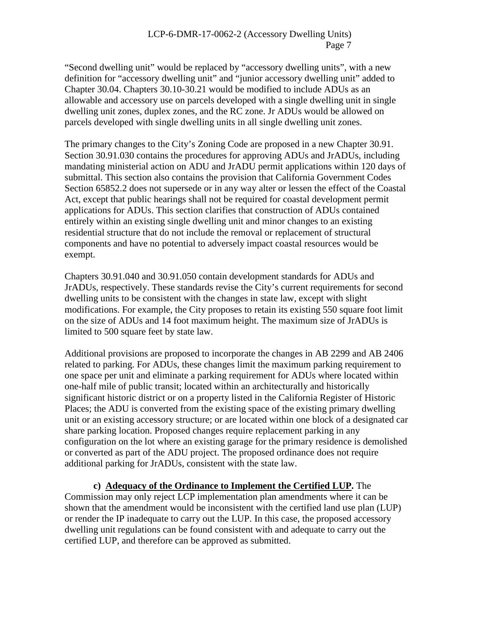"Second dwelling unit" would be replaced by "accessory dwelling units", with a new definition for "accessory dwelling unit" and "junior accessory dwelling unit" added to Chapter 30.04. Chapters 30.10-30.21 would be modified to include ADUs as an allowable and accessory use on parcels developed with a single dwelling unit in single dwelling unit zones, duplex zones, and the RC zone. Jr ADUs would be allowed on parcels developed with single dwelling units in all single dwelling unit zones.

The primary changes to the City's Zoning Code are proposed in a new Chapter 30.91. Section 30.91.030 contains the procedures for approving ADUs and JrADUs, including mandating ministerial action on ADU and JrADU permit applications within 120 days of submittal. This section also contains the provision that California Government Codes Section 65852.2 does not supersede or in any way alter or lessen the effect of the Coastal Act, except that public hearings shall not be required for coastal development permit applications for ADUs. This section clarifies that construction of ADUs contained entirely within an existing single dwelling unit and minor changes to an existing residential structure that do not include the removal or replacement of structural components and have no potential to adversely impact coastal resources would be exempt.

Chapters 30.91.040 and 30.91.050 contain development standards for ADUs and JrADUs, respectively. These standards revise the City's current requirements for second dwelling units to be consistent with the changes in state law, except with slight modifications. For example, the City proposes to retain its existing 550 square foot limit on the size of ADUs and 14 foot maximum height. The maximum size of JrADUs is limited to 500 square feet by state law.

Additional provisions are proposed to incorporate the changes in AB 2299 and AB 2406 related to parking. For ADUs, these changes limit the maximum parking requirement to one space per unit and eliminate a parking requirement for ADUs where located within one-half mile of public transit; located within an architecturally and historically significant historic district or on a property listed in the California Register of Historic Places; the ADU is converted from the existing space of the existing primary dwelling unit or an existing accessory structure; or are located within one block of a designated car share parking location. Proposed changes require replacement parking in any configuration on the lot where an existing garage for the primary residence is demolished or converted as part of the ADU project. The proposed ordinance does not require additional parking for JrADUs, consistent with the state law.

**c) Adequacy of the Ordinance to Implement the Certified LUP.** The Commission may only reject LCP implementation plan amendments where it can be shown that the amendment would be inconsistent with the certified land use plan (LUP) or render the IP inadequate to carry out the LUP. In this case, the proposed accessory dwelling unit regulations can be found consistent with and adequate to carry out the certified LUP, and therefore can be approved as submitted.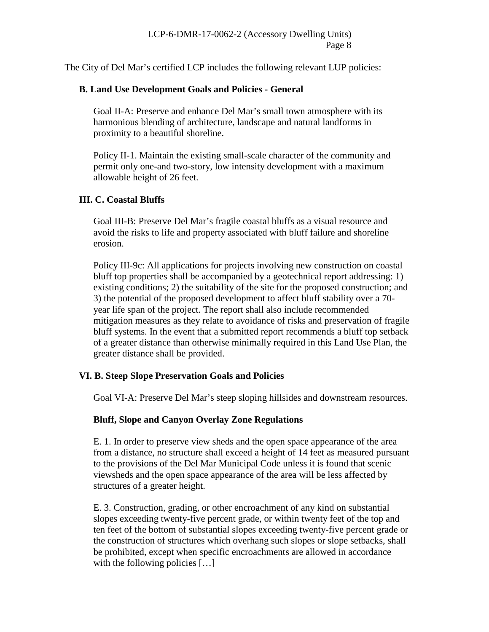The City of Del Mar's certified LCP includes the following relevant LUP policies:

## **B. Land Use Development Goals and Policies - General**

Goal II-A: Preserve and enhance Del Mar's small town atmosphere with its harmonious blending of architecture, landscape and natural landforms in proximity to a beautiful shoreline.

Policy II-1. Maintain the existing small-scale character of the community and permit only one-and two-story, low intensity development with a maximum allowable height of 26 feet.

## **III. C. Coastal Bluffs**

Goal III-B: Preserve Del Mar's fragile coastal bluffs as a visual resource and avoid the risks to life and property associated with bluff failure and shoreline erosion.

Policy III-9c: All applications for projects involving new construction on coastal bluff top properties shall be accompanied by a geotechnical report addressing: 1) existing conditions; 2) the suitability of the site for the proposed construction; and 3) the potential of the proposed development to affect bluff stability over a 70 year life span of the project. The report shall also include recommended mitigation measures as they relate to avoidance of risks and preservation of fragile bluff systems. In the event that a submitted report recommends a bluff top setback of a greater distance than otherwise minimally required in this Land Use Plan, the greater distance shall be provided.

## **VI. B. Steep Slope Preservation Goals and Policies**

Goal VI-A: Preserve Del Mar's steep sloping hillsides and downstream resources.

## **Bluff, Slope and Canyon Overlay Zone Regulations**

E. 1. In order to preserve view sheds and the open space appearance of the area from a distance, no structure shall exceed a height of 14 feet as measured pursuant to the provisions of the Del Mar Municipal Code unless it is found that scenic viewsheds and the open space appearance of the area will be less affected by structures of a greater height.

E. 3. Construction, grading, or other encroachment of any kind on substantial slopes exceeding twenty-five percent grade, or within twenty feet of the top and ten feet of the bottom of substantial slopes exceeding twenty-five percent grade or the construction of structures which overhang such slopes or slope setbacks, shall be prohibited, except when specific encroachments are allowed in accordance with the following policies [...]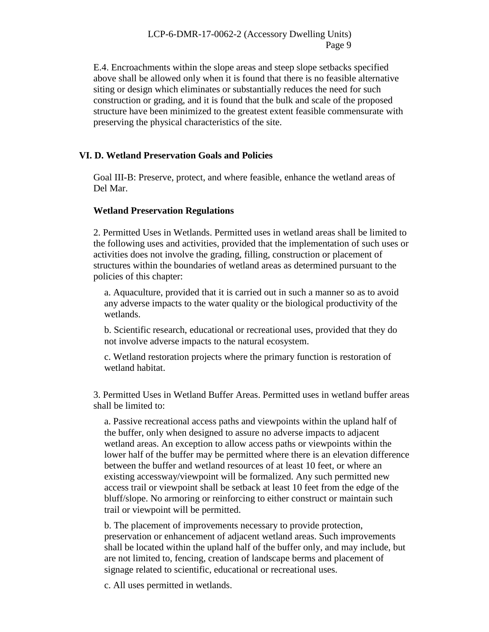E.4. Encroachments within the slope areas and steep slope setbacks specified above shall be allowed only when it is found that there is no feasible alternative siting or design which eliminates or substantially reduces the need for such construction or grading, and it is found that the bulk and scale of the proposed structure have been minimized to the greatest extent feasible commensurate with preserving the physical characteristics of the site.

### **VI. D. Wetland Preservation Goals and Policies**

Goal III-B: Preserve, protect, and where feasible, enhance the wetland areas of Del Mar.

#### **Wetland Preservation Regulations**

2. Permitted Uses in Wetlands. Permitted uses in wetland areas shall be limited to the following uses and activities, provided that the implementation of such uses or activities does not involve the grading, filling, construction or placement of structures within the boundaries of wetland areas as determined pursuant to the policies of this chapter:

a. Aquaculture, provided that it is carried out in such a manner so as to avoid any adverse impacts to the water quality or the biological productivity of the wetlands.

b. Scientific research, educational or recreational uses, provided that they do not involve adverse impacts to the natural ecosystem.

c. Wetland restoration projects where the primary function is restoration of wetland habitat.

3. Permitted Uses in Wetland Buffer Areas. Permitted uses in wetland buffer areas shall be limited to:

a. Passive recreational access paths and viewpoints within the upland half of the buffer, only when designed to assure no adverse impacts to adjacent wetland areas. An exception to allow access paths or viewpoints within the lower half of the buffer may be permitted where there is an elevation difference between the buffer and wetland resources of at least 10 feet, or where an existing accessway/viewpoint will be formalized. Any such permitted new access trail or viewpoint shall be setback at least 10 feet from the edge of the bluff/slope. No armoring or reinforcing to either construct or maintain such trail or viewpoint will be permitted.

b. The placement of improvements necessary to provide protection, preservation or enhancement of adjacent wetland areas. Such improvements shall be located within the upland half of the buffer only, and may include, but are not limited to, fencing, creation of landscape berms and placement of signage related to scientific, educational or recreational uses.

c. All uses permitted in wetlands.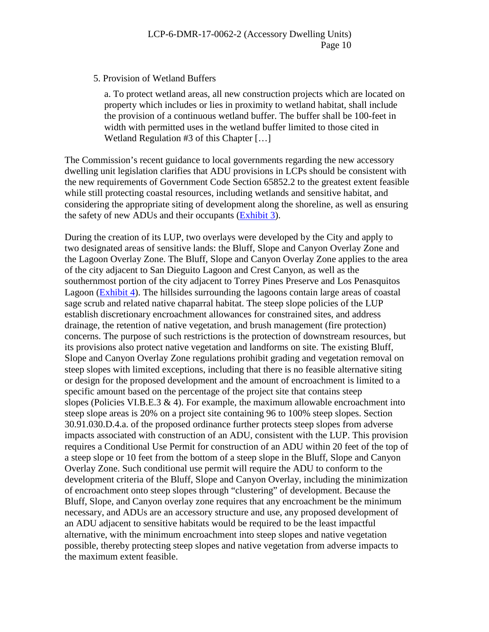#### 5. Provision of Wetland Buffers

a. To protect wetland areas, all new construction projects which are located on property which includes or lies in proximity to wetland habitat, shall include the provision of a continuous wetland buffer. The buffer shall be 100-feet in width with permitted uses in the wetland buffer limited to those cited in Wetland Regulation #3 of this Chapter […]

The Commission's recent guidance to local governments regarding the new accessory dwelling unit legislation clarifies that ADU provisions in LCPs should be consistent with the new requirements of Government Code Section 65852.2 to the greatest extent feasible while still protecting coastal resources, including wetlands and sensitive habitat, and considering the appropriate siting of development along the shoreline, as well as ensuring the safety of new ADUs and their occupants [\(Exhibit 3\)](https://documents.coastal.ca.gov/reports/2018/2/Th17e/Th17e-2-2018-exhibits.pdf).

During the creation of its LUP, two overlays were developed by the City and apply to two designated areas of sensitive lands: the Bluff, Slope and Canyon Overlay Zone and the Lagoon Overlay Zone. The Bluff, Slope and Canyon Overlay Zone applies to the area of the city adjacent to San Dieguito Lagoon and Crest Canyon, as well as the southernmost portion of the city adjacent to Torrey Pines Preserve and Los Penasquitos Lagoon [\(Exhibit 4\)](https://documents.coastal.ca.gov/reports/2018/2/Th17e/Th17e-2-2018-exhibits.pdf). The hillsides surrounding the lagoons contain large areas of coastal sage scrub and related native chaparral habitat. The steep slope policies of the LUP establish discretionary encroachment allowances for constrained sites, and address drainage, the retention of native vegetation, and brush management (fire protection) concerns. The purpose of such restrictions is the protection of downstream resources, but its provisions also protect native vegetation and landforms on site. The existing Bluff, Slope and Canyon Overlay Zone regulations prohibit grading and vegetation removal on steep slopes with limited exceptions, including that there is no feasible alternative siting or design for the proposed development and the amount of encroachment is limited to a specific amount based on the percentage of the project site that contains steep slopes (Policies VI.B.E.3  $\&$  4). For example, the maximum allowable encroachment into steep slope areas is 20% on a project site containing 96 to 100% steep slopes. Section 30.91.030.D.4.a. of the proposed ordinance further protects steep slopes from adverse impacts associated with construction of an ADU, consistent with the LUP. This provision requires a Conditional Use Permit for construction of an ADU within 20 feet of the top of a steep slope or 10 feet from the bottom of a steep slope in the Bluff, Slope and Canyon Overlay Zone. Such conditional use permit will require the ADU to conform to the development criteria of the Bluff, Slope and Canyon Overlay, including the minimization of encroachment onto steep slopes through "clustering" of development. Because the Bluff, Slope, and Canyon overlay zone requires that any encroachment be the minimum necessary, and ADUs are an accessory structure and use, any proposed development of an ADU adjacent to sensitive habitats would be required to be the least impactful alternative, with the minimum encroachment into steep slopes and native vegetation possible, thereby protecting steep slopes and native vegetation from adverse impacts to the maximum extent feasible.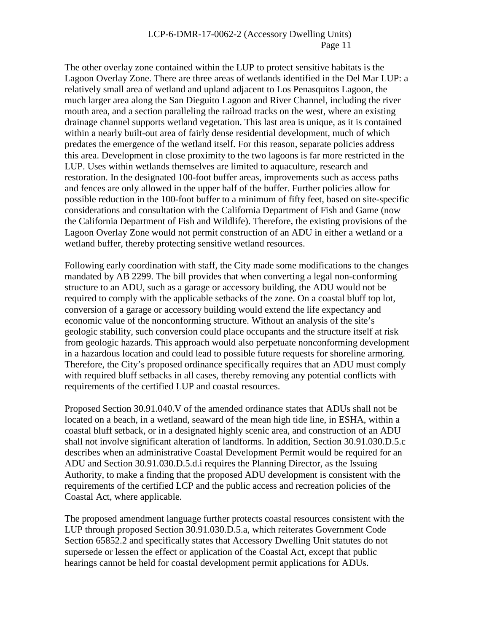The other overlay zone contained within the LUP to protect sensitive habitats is the Lagoon Overlay Zone. There are three areas of wetlands identified in the Del Mar LUP: a relatively small area of wetland and upland adjacent to Los Penasquitos Lagoon, the much larger area along the San Dieguito Lagoon and River Channel, including the river mouth area, and a section paralleling the railroad tracks on the west, where an existing drainage channel supports wetland vegetation. This last area is unique, as it is contained within a nearly built-out area of fairly dense residential development, much of which predates the emergence of the wetland itself. For this reason, separate policies address this area. Development in close proximity to the two lagoons is far more restricted in the LUP. Uses within wetlands themselves are limited to aquaculture, research and restoration. In the designated 100-foot buffer areas, improvements such as access paths and fences are only allowed in the upper half of the buffer. Further policies allow for possible reduction in the 100-foot buffer to a minimum of fifty feet, based on site-specific considerations and consultation with the California Department of Fish and Game (now the California Department of Fish and Wildlife). Therefore, the existing provisions of the Lagoon Overlay Zone would not permit construction of an ADU in either a wetland or a wetland buffer, thereby protecting sensitive wetland resources.

Following early coordination with staff, the City made some modifications to the changes mandated by AB 2299. The bill provides that when converting a legal non-conforming structure to an ADU, such as a garage or accessory building, the ADU would not be required to comply with the applicable setbacks of the zone. On a coastal bluff top lot, conversion of a garage or accessory building would extend the life expectancy and economic value of the nonconforming structure. Without an analysis of the site's geologic stability, such conversion could place occupants and the structure itself at risk from geologic hazards. This approach would also perpetuate nonconforming development in a hazardous location and could lead to possible future requests for shoreline armoring. Therefore, the City's proposed ordinance specifically requires that an ADU must comply with required bluff setbacks in all cases, thereby removing any potential conflicts with requirements of the certified LUP and coastal resources.

Proposed Section 30.91.040.V of the amended ordinance states that ADUs shall not be located on a beach, in a wetland, seaward of the mean high tide line, in ESHA, within a coastal bluff setback, or in a designated highly scenic area, and construction of an ADU shall not involve significant alteration of landforms. In addition, Section 30.91.030.D.5.c describes when an administrative Coastal Development Permit would be required for an ADU and Section 30.91.030.D.5.d.i requires the Planning Director, as the Issuing Authority, to make a finding that the proposed ADU development is consistent with the requirements of the certified LCP and the public access and recreation policies of the Coastal Act, where applicable.

The proposed amendment language further protects coastal resources consistent with the LUP through proposed Section 30.91.030.D.5.a, which reiterates Government Code Section 65852.2 and specifically states that Accessory Dwelling Unit statutes do not supersede or lessen the effect or application of the Coastal Act, except that public hearings cannot be held for coastal development permit applications for ADUs.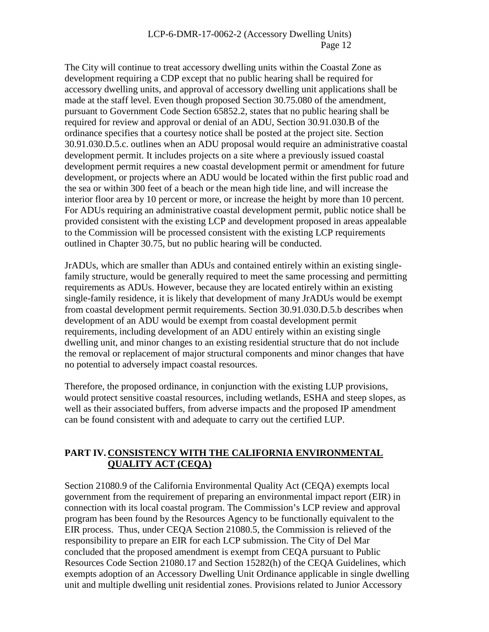The City will continue to treat accessory dwelling units within the Coastal Zone as development requiring a CDP except that no public hearing shall be required for accessory dwelling units, and approval of accessory dwelling unit applications shall be made at the staff level. Even though proposed Section 30.75.080 of the amendment, pursuant to Government Code Section 65852.2, states that no public hearing shall be required for review and approval or denial of an ADU, Section 30.91.030.B of the ordinance specifies that a courtesy notice shall be posted at the project site. Section 30.91.030.D.5.c. outlines when an ADU proposal would require an administrative coastal development permit. It includes projects on a site where a previously issued coastal development permit requires a new coastal development permit or amendment for future development, or projects where an ADU would be located within the first public road and the sea or within 300 feet of a beach or the mean high tide line, and will increase the interior floor area by 10 percent or more, or increase the height by more than 10 percent. For ADUs requiring an administrative coastal development permit, public notice shall be provided consistent with the existing LCP and development proposed in areas appealable to the Commission will be processed consistent with the existing LCP requirements outlined in Chapter 30.75, but no public hearing will be conducted.

JrADUs, which are smaller than ADUs and contained entirely within an existing singlefamily structure, would be generally required to meet the same processing and permitting requirements as ADUs. However, because they are located entirely within an existing single-family residence, it is likely that development of many JrADUs would be exempt from coastal development permit requirements. Section 30.91.030.D.5.b describes when development of an ADU would be exempt from coastal development permit requirements, including development of an ADU entirely within an existing single dwelling unit, and minor changes to an existing residential structure that do not include the removal or replacement of major structural components and minor changes that have no potential to adversely impact coastal resources.

Therefore, the proposed ordinance, in conjunction with the existing LUP provisions, would protect sensitive coastal resources, including wetlands, ESHA and steep slopes, as well as their associated buffers, from adverse impacts and the proposed IP amendment can be found consistent with and adequate to carry out the certified LUP.

# **PART IV. CONSISTENCY WITH THE CALIFORNIA ENVIRONMENTAL QUALITY ACT (CEQA)**

Section 21080.9 of the California Environmental Quality Act (CEQA) exempts local government from the requirement of preparing an environmental impact report (EIR) in connection with its local coastal program. The Commission's LCP review and approval program has been found by the Resources Agency to be functionally equivalent to the EIR process. Thus, under CEQA Section 21080.5, the Commission is relieved of the responsibility to prepare an EIR for each LCP submission. The City of Del Mar concluded that the proposed amendment is exempt from CEQA pursuant to Public Resources Code Section 21080.17 and Section 15282(h) of the CEQA Guidelines, which exempts adoption of an Accessory Dwelling Unit Ordinance applicable in single dwelling unit and multiple dwelling unit residential zones. Provisions related to Junior Accessory